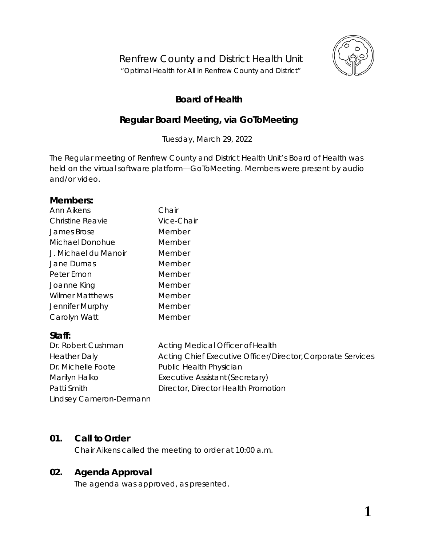

# **Board of Health**

# **Regular Board Meeting, via** *GoToMeeting*

Tuesday, March 29, 2022

The Regular meeting of Renfrew County and District Health Unit's Board of Health was held on the virtual software platform—*GoToMeeting*. Members were present by audio and/or video.

## **Members:**

| Ann Aikens              | Chair                                                       |
|-------------------------|-------------------------------------------------------------|
| <b>Christine Reavie</b> | Vice-Chair                                                  |
| James Brose             | Member                                                      |
| Michael Donohue         | Member                                                      |
| J. Michael du Manoir    | Member                                                      |
| Jane Dumas              | Member                                                      |
| Peter Emon              | Member                                                      |
| Joanne King             | Member                                                      |
| <b>Wilmer Matthews</b>  | Member                                                      |
| Jennifer Murphy         | Member                                                      |
| Carolyn Watt            | Member                                                      |
| Staff:                  |                                                             |
| Dr. Robert Cushman      | Acting Medical Officer of Health                            |
| <b>Heather Daly</b>     | Acting Chief Executive Officer/Director, Corporate Services |
| Dr. Michelle Foote      | Public Health Physician                                     |
| Marilyn Halko           | Executive Assistant (Secretary)                             |

Patti Smith Director, Director Health Promotion

# **01. Call to Order**

Chair Aikens called the meeting to order at 10:00 a.m.

# **02. Agenda Approval**

Lindsey Cameron-Dermann

The agenda was approved, as presented.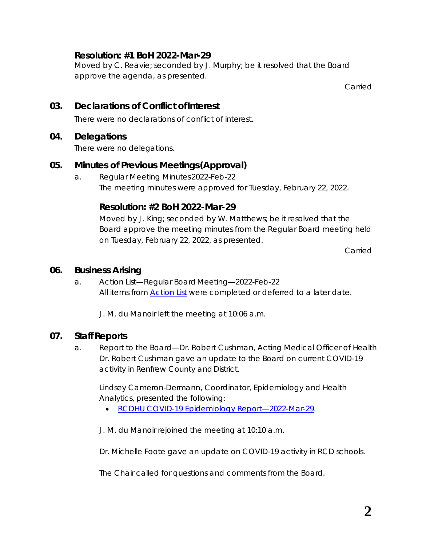## **Resolution: #1 BoH 2022-Mar-29**

Moved by C. Reavie; seconded by J. Murphy; be it resolved that the Board approve the agenda, as presented.

Carried

# **03. Declarations of Conflict ofInterest**

There were no declarations of conflict of interest.

## **04. Delegations**

There were no delegations.

# **05. Minutes of Previous Meetings(Approval)**

a. Regular Meeting Minutes2022-Feb-22 The meeting minutes were approved for Tuesday, February 22, 2022.

## **Resolution: #2 BoH 2022-Mar-29**

Moved by J. King; seconded by W. Matthews; be it resolved that the Board approve the meeting minutes from the Regular Board meeting held on Tuesday, February 22, 2022, as presented.

Carried

#### **06. Business Arising**

a. Action List—Regular BoardMeeting—2022-Feb-22 All items from *[Action List](https://www.rcdhu.com/wp-content/uploads/2022/03/06.-a.-Action-List-Regular-BoH-2022-Feb-22.pdf)* were completed or deferred to a later date.

J. M. du Manoir left the meeting at 10:06 a.m.

# **07. Staff Reports**

a. Report to the Board—Dr. Robert Cushman, Acting Medical Officer of Health Dr. Robert Cushman gave an update to the Board on current COVID-19 activity in Renfrew County and District.

Lindsey Cameron-Dermann, Coordinator, Epidemiology and Health Analytics, presented the following:

• *[RCDHU COVID-19 Epidemiology Report—2022-Mar-29](https://www.rcdhu.com/wp-content/uploads/2022/03/07.-a.-COVID-19-RCDHU-Epidemiology-Update-2022-03-29.pdf)*.

J. M. du Manoir rejoined the meeting at 10:10 a.m.

Dr. Michelle Foote gave an update on COVID-19 activity in RCD schools.

The Chair called for questions and comments from the Board.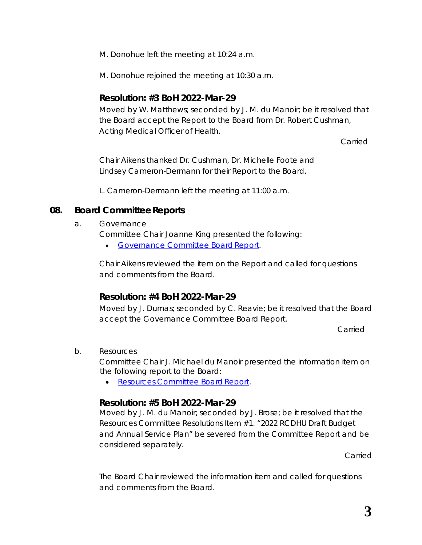M. Donohue left the meeting at 10:24 a.m.

M. Donohue rejoined the meeting at 10:30 a.m.

#### **Resolution: #3 BoH 2022-Mar-29**

Moved by W. Matthews; seconded by J. M. du Manoir; be it resolved that the Board accept the Report to the Board from Dr. Robert Cushman, Acting Medical Officer of Health.

Carried

Chair Aikens thanked Dr. Cushman, Dr. Michelle Foote and Lindsey Cameron-Dermann for their *Report to the Board*.

L. Cameron-Dermann left the meeting at 11:00 a.m.

## **08. Board CommitteeReports**

a. Governance

Committee Chair Joanne King presented the following:

• *[Governance Committee BoardReport](https://www.rcdhu.com/wp-content/uploads/2022/04/08.-a.-Governance-Committee-Board-Report-2022-Mar-10.pdf)*.

Chair Aikens reviewed the item on the *Report* and called for questions and comments from the Board.

# **Resolution: #4 BoH 2022-Mar-29**

Moved by J. Dumas; seconded by C. Reavie; be it resolved that the Board accept the Governance Committee Board Report.

Carried

b. Resources

Committee Chair J. Michael du Manoir presented the information item on the following report to the Board:

• *[Resources Committee Board](https://www.rcdhu.com/wp-content/uploads/2022/04/08.-b.-i.-Resources-Committee-Board-Report-2022-Mar-21.pdf) Report*.

#### **Resolution: #5 BoH 2022-Mar-29**

Moved by J. M. du Manoir; seconded by J. Brose; be it resolved that the Resources Committee Resolutions Item #1. "*2022 RCDHU Draft Budget and Annual Service Plan*" be severed from the Committee Report and be considered separately.

Carried

The Board Chair reviewed the information item and called for questions and comments from the Board.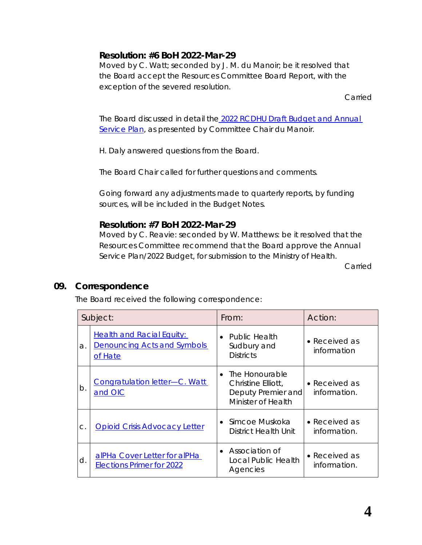# **Resolution: #6 BoH 2022-Mar-29**

Moved by C. Watt; seconded by J. M. du Manoir; be it resolved that the Board accept the Resources Committee Board Report, with the exception of the severed resolution.

Carried

The Board discussed in detail the *[2022 RCDHU Draft Budget and Annual](https://www.rcdhu.com/wp-content/uploads/2022/04/08.-a.-2022-RCDHU-Draft-Budget-and-Annual-Service-Plan-Notes-and-Highlights.pdf)  [Service Plan](https://www.rcdhu.com/wp-content/uploads/2022/04/08.-a.-2022-RCDHU-Draft-Budget-and-Annual-Service-Plan-Notes-and-Highlights.pdf)*, as presented by Committee Chair du Manoir.

H. Daly answered questions from the Board.

The Board Chair called for further questions and comments.

Going forward any adjustments made to quarterly reports, by funding sources, will be included in the Budget Notes.

## **Resolution: #7 BoH 2022-Mar-29**

Moved by C. Reavie: seconded by W. Matthews: be it resolved that the Resources Committee recommend that the Board approve the Annual Service Plan/2022 Budget, for submission to the Ministry of Health.

Carried

#### **09. Correspondence**

The Board received the following correspondence:

| Subject:      |                                                                                   | From:                                                                              | Action:                       |
|---------------|-----------------------------------------------------------------------------------|------------------------------------------------------------------------------------|-------------------------------|
| a.            | <b>Health and Racial Equity:</b><br><b>Denouncing Acts and Symbols</b><br>of Hate | <b>Public Health</b><br>Sudbury and<br><b>Districts</b>                            | • Received as<br>information  |
| $b$ .         | <b>Congratulation letter-C. Watt</b><br>and OIC                                   | • The Honourable<br>Christine Elliott,<br>Deputy Premier and<br>Minister of Health | • Received as<br>information. |
| $\mathsf{C}.$ | <b>Opioid Crisis Advocacy Letter</b>                                              | $\bullet$ Simcoe Muskoka<br>District Health Unit                                   | • Received as<br>information. |
| d.            | alPHa Cover Letter for alPHa<br><b>Elections Primer for 2022</b>                  | • Association of<br>Local Public Health<br>Agencies                                | • Received as<br>information. |